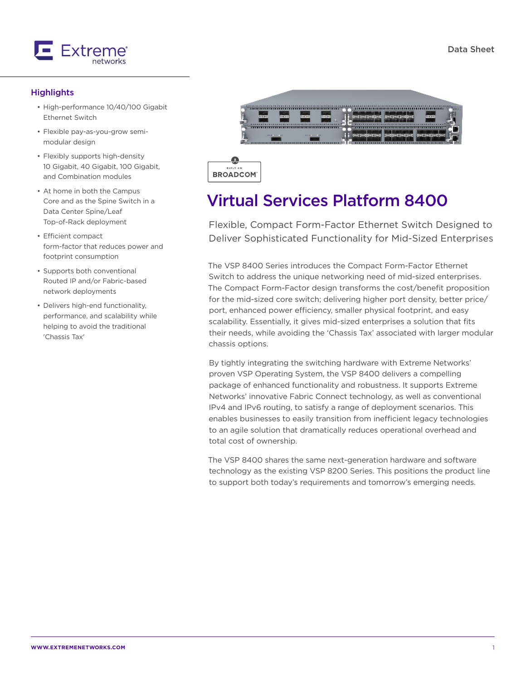

#### **Highlights**

- High-performance 10/40/100 Gigabit Ethernet Switch
- Flexible pay-as-you-grow semimodular design
- Flexibly supports high-density 10 Gigabit, 40 Gigabit, 100 Gigabit, and Combination modules
- At home in both the Campus Core and as the Spine Switch in a Data Center Spine/Leaf Top-of-Rack deployment
- Efficient compact form-factor that reduces power and footprint consumption
- Supports both conventional Routed IP and/or Fabric-based network deployments
- Delivers high-end functionality, performance, and scalability while helping to avoid the traditional 'Chassis Tax'



BUILT **BROADCOM** 

# Virtual Services Platform 8400

Flexible, Compact Form-Factor Ethernet Switch Designed to Deliver Sophisticated Functionality for Mid-Sized Enterprises

The VSP 8400 Series introduces the Compact Form-Factor Ethernet Switch to address the unique networking need of mid-sized enterprises. The Compact Form-Factor design transforms the cost/benefit proposition for the mid-sized core switch; delivering higher port density, better price/ port, enhanced power efficiency, smaller physical footprint, and easy scalability. Essentially, it gives mid-sized enterprises a solution that fits their needs, while avoiding the 'Chassis Tax' associated with larger modular chassis options.

By tightly integrating the switching hardware with Extreme Networks' proven VSP Operating System, the VSP 8400 delivers a compelling package of enhanced functionality and robustness. It supports Extreme Networks' innovative Fabric Connect technology, as well as conventional IPv4 and IPv6 routing, to satisfy a range of deployment scenarios. This enables businesses to easily transition from inefficient legacy technologies to an agile solution that dramatically reduces operational overhead and total cost of ownership.

The VSP 8400 shares the same next-generation hardware and software technology as the existing VSP 8200 Series. This positions the product line to support both today's requirements and tomorrow's emerging needs.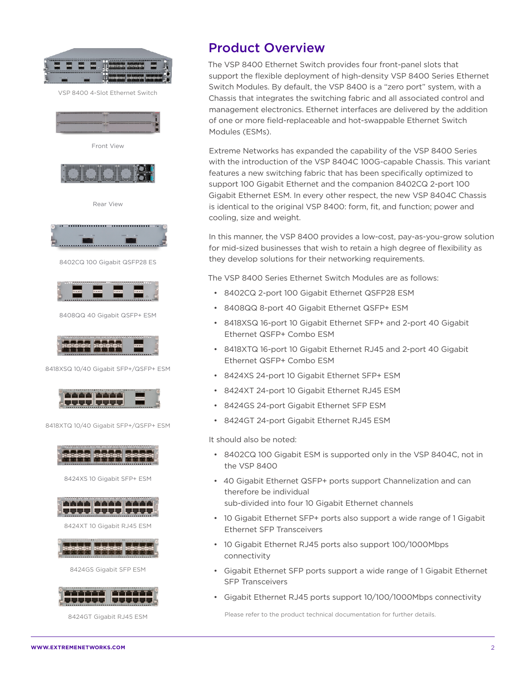

VSP 8400 4-Slot Ethernet Switch





8402CQ 100 Gigabit QSFP28 ES



8408QQ 40 Gigabit QSFP+ ESM



8418XSQ 10/40 Gigabit SFP+/QSFP+ ESM



8418XTQ 10/40 Gigabit SFP+/QSFP+ ESM



8424GT Gigabit RJ45 ESM

### Product Overview

The VSP 8400 Ethernet Switch provides four front-panel slots that support the flexible deployment of high-density VSP 8400 Series Ethernet Switch Modules. By default, the VSP 8400 is a "zero port" system, with a Chassis that integrates the switching fabric and all associated control and management electronics. Ethernet interfaces are delivered by the addition of one or more field-replaceable and hot-swappable Ethernet Switch Modules (ESMs).

Extreme Networks has expanded the capability of the VSP 8400 Series with the introduction of the VSP 8404C 100G-capable Chassis. This variant features a new switching fabric that has been specifically optimized to support 100 Gigabit Ethernet and the companion 8402CQ 2-port 100 Gigabit Ethernet ESM. In every other respect, the new VSP 8404C Chassis is identical to the original VSP 8400: form, fit, and function; power and cooling, size and weight.

In this manner, the VSP 8400 provides a low-cost, pay-as-you-grow solution for mid-sized businesses that wish to retain a high degree of flexibility as they develop solutions for their networking requirements.

The VSP 8400 Series Ethernet Switch Modules are as follows:

- 8402CQ 2-port 100 Gigabit Ethernet QSFP28 ESM
- 8408QQ 8-port 40 Gigabit Ethernet QSFP+ ESM
- 8418XSQ 16-port 10 Gigabit Ethernet SFP+ and 2-port 40 Gigabit Ethernet QSFP+ Combo ESM
- 8418XTQ 16-port 10 Gigabit Ethernet RJ45 and 2-port 40 Gigabit Ethernet QSFP+ Combo ESM
- 8424XS 24-port 10 Gigabit Ethernet SFP+ ESM
- 8424XT 24-port 10 Gigabit Ethernet RJ45 ESM
- 8424GS 24-port Gigabit Ethernet SFP ESM
- 8424GT 24-port Gigabit Ethernet RJ45 ESM

It should also be noted:

- 8402CQ 100 Gigabit ESM is supported only in the VSP 8404C, not in the VSP 8400
- 40 Gigabit Ethernet QSFP+ ports support Channelization and can therefore be individual sub-divided into four 10 Gigabit Ethernet channels
- 10 Gigabit Ethernet SFP+ ports also support a wide range of 1 Gigabit Ethernet SFP Transceivers
- 10 Gigabit Ethernet RJ45 ports also support 100/1000Mbps connectivity
- Gigabit Ethernet SFP ports support a wide range of 1 Gigabit Ethernet SFP Transceivers
- Gigabit Ethernet RJ45 ports support 10/100/1000Mbps connectivity

Please refer to the product technical documentation for further details.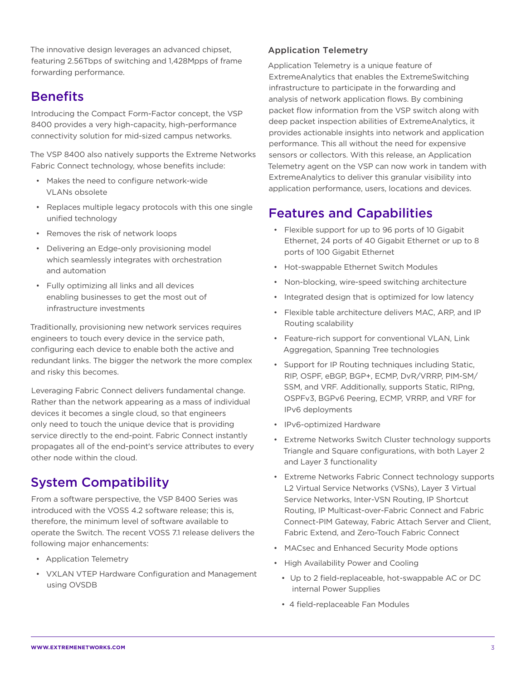The innovative design leverages an advanced chipset, featuring 2.56Tbps of switching and 1,428Mpps of frame forwarding performance.

### **Benefits**

Introducing the Compact Form-Factor concept, the VSP 8400 provides a very high-capacity, high-performance connectivity solution for mid-sized campus networks.

The VSP 8400 also natively supports the Extreme Networks Fabric Connect technology, whose benefits include:

- Makes the need to configure network-wide VLANs obsolete
- Replaces multiple legacy protocols with this one single unified technology
- Removes the risk of network loops
- Delivering an Edge-only provisioning model which seamlessly integrates with orchestration and automation
- Fully optimizing all links and all devices enabling businesses to get the most out of infrastructure investments

Traditionally, provisioning new network services requires engineers to touch every device in the service path, configuring each device to enable both the active and redundant links. The bigger the network the more complex and risky this becomes.

Leveraging Fabric Connect delivers fundamental change. Rather than the network appearing as a mass of individual devices it becomes a single cloud, so that engineers only need to touch the unique device that is providing service directly to the end-point. Fabric Connect instantly propagates all of the end-point's service attributes to every other node within the cloud.

## System Compatibility

From a software perspective, the VSP 8400 Series was introduced with the VOSS 4.2 software release; this is, therefore, the minimum level of software available to operate the Switch. The recent VOSS 7.1 release delivers the following major enhancements:

- Application Telemetry
- VXLAN VTEP Hardware Configuration and Management using OVSDB

#### Application Telemetry

Application Telemetry is a unique feature of ExtremeAnalytics that enables the ExtremeSwitching infrastructure to participate in the forwarding and analysis of network application flows. By combining packet flow information from the VSP switch along with deep packet inspection abilities of ExtremeAnalytics, it provides actionable insights into network and application performance. This all without the need for expensive sensors or collectors. With this release, an Application Telemetry agent on the VSP can now work in tandem with ExtremeAnalytics to deliver this granular visibility into application performance, users, locations and devices.

## Features and Capabilities

- Flexible support for up to 96 ports of 10 Gigabit Ethernet, 24 ports of 40 Gigabit Ethernet or up to 8 ports of 100 Gigabit Ethernet
- Hot-swappable Ethernet Switch Modules
- Non-blocking, wire-speed switching architecture
- Integrated design that is optimized for low latency
- Flexible table architecture delivers MAC, ARP, and IP Routing scalability
- Feature-rich support for conventional VLAN, Link Aggregation, Spanning Tree technologies
- Support for IP Routing techniques including Static, RIP, OSPF, eBGP, BGP+, ECMP, DvR/VRRP, PIM-SM/ SSM, and VRF. Additionally, supports Static, RIPng, OSPFv3, BGPv6 Peering, ECMP, VRRP, and VRF for IPv6 deployments
- IPv6-optimized Hardware
- Extreme Networks Switch Cluster technology supports Triangle and Square configurations, with both Layer 2 and Layer 3 functionality
- Extreme Networks Fabric Connect technology supports L2 Virtual Service Networks (VSNs), Layer 3 Virtual Service Networks, Inter-VSN Routing, IP Shortcut Routing, IP Multicast-over-Fabric Connect and Fabric Connect-PIM Gateway, Fabric Attach Server and Client, Fabric Extend, and Zero-Touch Fabric Connect
- MACsec and Enhanced Security Mode options
- High Availability Power and Cooling
	- Up to 2 field-replaceable, hot-swappable AC or DC internal Power Supplies
	- 4 field-replaceable Fan Modules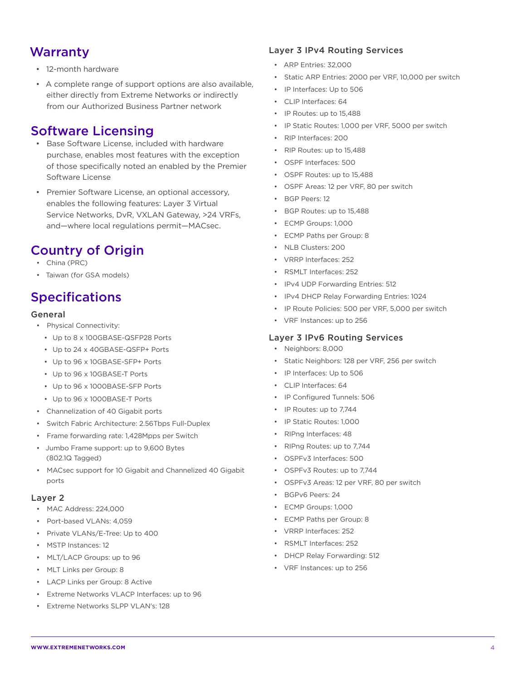### Warranty

- 12-month hardware
- A complete range of support options are also available, either directly from Extreme Networks or indirectly from our Authorized Business Partner network

### Software Licensing

- Base Software License, included with hardware purchase, enables most features with the exception of those specifically noted an enabled by the Premier Software License
- Premier Software License, an optional accessory, enables the following features: Layer 3 Virtual Service Networks, DvR, VXLAN Gateway, >24 VRFs, and—where local regulations permit—MACsec.

## Country of Origin

- China (PRC)
- Taiwan (for GSA models)

## Specifications

#### General

- Physical Connectivity:
	- Up to 8 x 100GBASE-QSFP28 Ports
	- Up to 24 x 40GBASE-QSFP+ Ports
	- Up to 96 x 10GBASE-SFP+ Ports
	- Up to 96 x 10GBASE-T Ports
	- Up to 96 x 1000BASE-SFP Ports
	- Up to 96 x 1000BASE-T Ports
- Channelization of 40 Gigabit ports
- Switch Fabric Architecture: 2.56Tbps Full-Duplex
- Frame forwarding rate: 1,428Mpps per Switch
- Jumbo Frame support: up to 9,600 Bytes (802.1Q Tagged)
- MACsec support for 10 Gigabit and Channelized 40 Gigabit ports

#### Layer 2

- MAC Address: 224,000
- Port-based VLANs: 4,059
- Private VLANs/E-Tree: Up to 400
- MSTP Instances: 12
- MLT/LACP Groups: up to 96
- MLT Links per Group: 8
- LACP Links per Group: 8 Active
- Extreme Networks VLACP Interfaces: up to 96
- Extreme Networks SLPP VLAN's: 128

#### Layer 3 IPv4 Routing Services

- ARP Entries: 32,000
- Static ARP Entries: 2000 per VRF, 10,000 per switch
- IP Interfaces: Up to 506
- CLIP Interfaces: 64
- IP Routes: up to 15,488
- IP Static Routes: 1,000 per VRF, 5000 per switch
- RIP Interfaces: 200
- RIP Routes: up to 15,488
- OSPF Interfaces: 500
- OSPF Routes: up to 15,488
- OSPF Areas: 12 per VRF, 80 per switch
- BGP Peers: 12
- BGP Routes: up to 15,488
- ECMP Groups: 1,000
- ECMP Paths per Group: 8
- NLB Clusters: 200
- VRRP Interfaces: 252
- RSMLT Interfaces: 252
- IPv4 UDP Forwarding Entries: 512
- IPv4 DHCP Relay Forwarding Entries: 1024
- IP Route Policies: 500 per VRF, 5,000 per switch
- VRF Instances: up to 256

#### Layer 3 IPv6 Routing Services

- Neighbors: 8,000
- Static Neighbors: 128 per VRF, 256 per switch
- IP Interfaces: Up to 506
- CLIP Interfaces: 64
- IP Configured Tunnels: 506
- IP Routes: up to 7,744
- IP Static Routes: 1,000
- RIPng Interfaces: 48
- RIPng Routes: up to 7,744
- OSPFv3 Interfaces: 500
- OSPFv3 Routes: up to 7,744
- OSPFv3 Areas: 12 per VRF, 80 per switch
- BGPv6 Peers: 24
- ECMP Groups: 1,000
- ECMP Paths per Group: 8
- VRRP Interfaces: 252
- RSMLT Interfaces: 252
- DHCP Relay Forwarding: 512
- VRF Instances: up to 256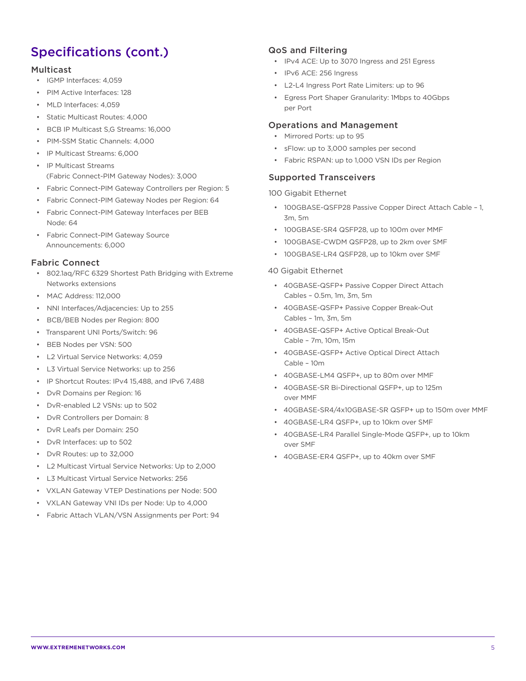## Specifications (cont.)

#### Multicast

- IGMP Interfaces: 4,059
- PIM Active Interfaces: 128
- MLD Interfaces: 4,059
- Static Multicast Routes: 4,000
- BCB IP Multicast S,G Streams: 16,000
- PIM-SSM Static Channels: 4,000
- IP Multicast Streams: 6,000
- IP Multicast Streams (Fabric Connect-PIM Gateway Nodes): 3,000
- Fabric Connect-PIM Gateway Controllers per Region: 5
- Fabric Connect-PIM Gateway Nodes per Region: 64
- Fabric Connect-PIM Gateway Interfaces per BEB Node: 64
- Fabric Connect-PIM Gateway Source Announcements: 6,000

#### Fabric Connect

- 802.1aq/RFC 6329 Shortest Path Bridging with Extreme Networks extensions
- MAC Address: 112,000
- NNI Interfaces/Adjacencies: Up to 255
- BCB/BEB Nodes per Region: 800
- Transparent UNI Ports/Switch: 96
- BEB Nodes per VSN: 500
- L2 Virtual Service Networks: 4,059
- L3 Virtual Service Networks: up to 256
- IP Shortcut Routes: IPv4 15,488, and IPv6 7,488
- DvR Domains per Region: 16
- DvR-enabled L2 VSNs: up to 502
- DvR Controllers per Domain: 8
- DvR Leafs per Domain: 250
- DvR Interfaces: up to 502
- DvR Routes: up to 32,000
- L2 Multicast Virtual Service Networks: Up to 2,000
- L3 Multicast Virtual Service Networks: 256
- VXLAN Gateway VTEP Destinations per Node: 500
- VXLAN Gateway VNI IDs per Node: Up to 4,000
- Fabric Attach VLAN/VSN Assignments per Port: 94

#### QoS and Filtering

- IPv4 ACE: Up to 3070 Ingress and 251 Egress
- IPv6 ACE: 256 Ingress
- L2-L4 Ingress Port Rate Limiters: up to 96
- Egress Port Shaper Granularity: 1Mbps to 40Gbps per Port

#### Operations and Management

- Mirrored Ports: up to 95
- sFlow: up to 3,000 samples per second
- Fabric RSPAN: up to 1,000 VSN IDs per Region

#### Supported Transceivers

100 Gigabit Ethernet

- 100GBASE-QSFP28 Passive Copper Direct Attach Cable 1, 3m, 5m
- 100GBASE-SR4 QSFP28, up to 100m over MMF
- 100GBASE-CWDM QSFP28, up to 2km over SMF
- 100GBASE-LR4 QSFP28, up to 10km over SMF

#### 40 Gigabit Ethernet

- 40GBASE-QSFP+ Passive Copper Direct Attach Cables – 0.5m, 1m, 3m, 5m
- 40GBASE-QSFP+ Passive Copper Break-Out Cables – 1m, 3m, 5m
- 40GBASE-QSFP+ Active Optical Break-Out Cable – 7m, 10m, 15m
- 40GBASE-QSFP+ Active Optical Direct Attach Cable – 10m
- 40GBASE-LM4 QSFP+, up to 80m over MMF
- 40GBASE-SR Bi-Directional QSFP+, up to 125m over MMF
- 40GBASE-SR4/4x10GBASE-SR QSFP+ up to 150m over MMF
- 40GBASE-LR4 QSFP+, up to 10km over SMF
- 40GBASE-LR4 Parallel Single-Mode QSFP+, up to 10km over SMF
- 40GBASE-ER4 QSFP+, up to 40km over SMF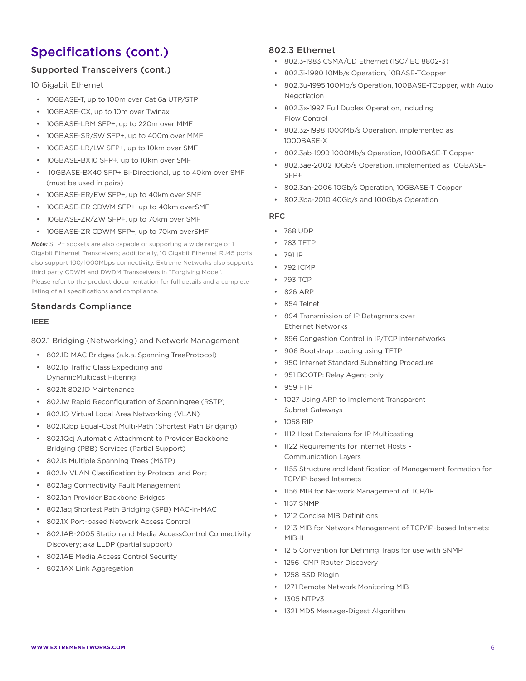## Specifications (cont.)

### Supported Transceivers (cont.)

10 Gigabit Ethernet

- 10GBASE-T, up to 100m over Cat 6a UTP/STP
- 10GBASE-CX, up to 10m over Twinax
- 10GBASE-LRM SFP+, up to 220m over MMF
- 10GBASE-SR/SW SFP+, up to 400m over MMF
- 10GBASE-LR/LW SFP+, up to 10km over SMF
- 10GBASE-BX10 SFP+, up to 10km over SMF
- 10GBASE-BX40 SFP+ Bi-Directional, up to 40km over SMF (must be used in pairs)
- 10GBASE-ER/EW SFP+, up to 40km over SMF
- 10GBASE-ER CDWM SFP+, up to 40km overSMF
- 10GBASE-ZR/ZW SFP+, up to 70km over SMF
- 10GBASE-ZR CDWM SFP+, up to 70km overSMF

*Note:* SFP+ sockets are also capable of supporting a wide range of 1 Gigabit Ethernet Transceivers; additionally, 10 Gigabit Ethernet RJ45 ports also support 100/1000Mbps connectivity. Extreme Networks also supports third party CDWM and DWDM Transceivers in "Forgiving Mode". Please refer to the product documentation for full details and a complete listing of all specifications and compliance.

### Standards Compliance

#### IEEE

802.1 Bridging (Networking) and Network Management

- 802.1D MAC Bridges (a.k.a. Spanning TreeProtocol)
- 802.1p Traffic Class Expediting and DynamicMulticast Filtering
- 802.1t 802.1D Maintenance
- 802.1w Rapid Reconfiguration of Spanningree (RSTP)
- 802.1Q Virtual Local Area Networking (VLAN)
- 802.1Qbp Equal-Cost Multi-Path (Shortest Path Bridging)
- 802.1Qcj Automatic Attachment to Provider Backbone Bridging (PBB) Services (Partial Support)
- 802.1s Multiple Spanning Trees (MSTP)
- 802.1v VLAN Classification by Protocol and Port
- 802.1ag Connectivity Fault Management
- 802.1ah Provider Backbone Bridges
- 802.1aq Shortest Path Bridging (SPB) MAC-in-MAC
- 802.1X Port-based Network Access Control
- 802.1AB-2005 Station and Media AccessControl Connectivity Discovery; aka LLDP (partial support)
- 802.1AE Media Access Control Security
- 802.1AX Link Aggregation

#### 802.3 Ethernet

- 802.3-1983 CSMA/CD Ethernet (ISO/IEC 8802-3)
- 802.3i-1990 10Mb/s Operation, 10BASE-TCopper
- 802.3u-1995 100Mb/s Operation, 100BASE-TCopper, with Auto Negotiation
- 802.3x-1997 Full Duplex Operation, including Flow Control
- 802.3z-1998 1000Mb/s Operation, implemented as 1000BASE-X
- 802.3ab-1999 1000Mb/s Operation, 1000BASE-T Copper
- 802.3ae-2002 10Gb/s Operation, implemented as 10GBASE-SFP+
- 802.3an-2006 10Gb/s Operation, 10GBASE-T Copper
- 802.3ba-2010 40Gb/s and 100Gb/s Operation

#### RFC

- 768 UDP
- 783 TFTP
- 791 IP
- 792 ICMP
- 793 TCP
- 826 ARP
- 854 Telnet
- 894 Transmission of IP Datagrams over Ethernet Networks
- 896 Congestion Control in IP/TCP internetworks
- 906 Bootstrap Loading using TFTP
- 950 Internet Standard Subnetting Procedure
- 951 BOOTP: Relay Agent-only
- 959 FTP
- 1027 Using ARP to Implement Transparent Subnet Gateways
- 1058 RIP
- 1112 Host Extensions for IP Multicasting
- 1122 Requirements for Internet Hosts Communication Layers
- 1155 Structure and Identification of Management formation for TCP/IP-based Internets
- 1156 MIB for Network Management of TCP/IP
- 1157 SNMP
- 1212 Concise MIB Definitions
- 1213 MIB for Network Management of TCP/IP-based Internets: MIB-II
- 1215 Convention for Defining Traps for use with SNMP
- 1256 ICMP Router Discovery
- 1258 BSD Rlogin
- 1271 Remote Network Monitoring MIB
- 1305 NTPv3
- 1321 MD5 Message-Digest Algorithm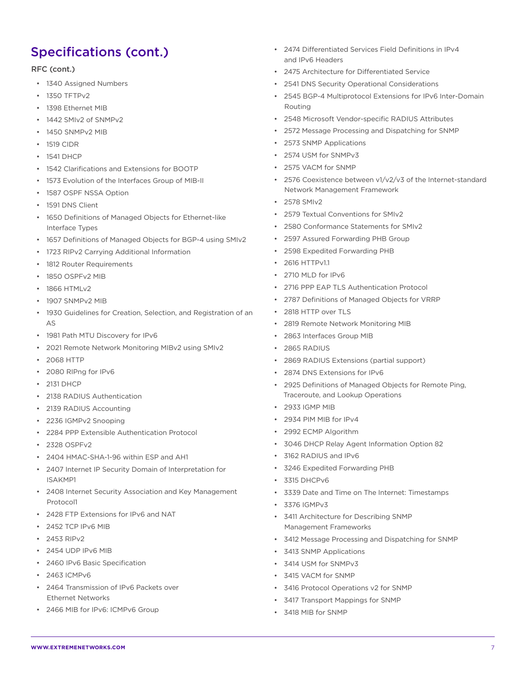## Specifications (cont.)

#### RFC (cont.)

- 1340 Assigned Numbers
- 1350 TFTPv2
- 1398 Ethernet MIB
- 1442 SMIv2 of SNMPv2
- 1450 SNMPv2 MIB
- 1519 CIDR
- 1541 DHCP
- 1542 Clarifications and Extensions for BOOTP
- 1573 Evolution of the Interfaces Group of MIB-II
- 1587 OSPF NSSA Option
- 1591 DNS Client
- 1650 Definitions of Managed Objects for Ethernet-like Interface Types
- 1657 Definitions of Managed Objects for BGP-4 using SMIv2
- 1723 RIPv2 Carrying Additional Information
- 1812 Router Requirements
- 1850 OSPFv2 MIB
- 1866 HTMLv2
- 1907 SNMPv2 MIB
- 1930 Guidelines for Creation, Selection, and Registration of an AS
- 1981 Path MTU Discovery for IPv6
- 2021 Remote Network Monitoring MIBv2 using SMIv2
- 2068 HTTP
- 2080 RIPng for IPv6
- 2131 DHCP
- 2138 RADIUS Authentication
- 2139 RADIUS Accounting
- 2236 IGMPv2 Snooping
- 2284 PPP Extensible Authentication Protocol
- 2328 OSPFv2
- 2404 HMAC-SHA-1-96 within ESP and AH1
- 2407 Internet IP Security Domain of Interpretation for ISAKMP1
- 2408 Internet Security Association and Key Management Protocol1
- 2428 FTP Extensions for IPv6 and NAT
- 2452 TCP IPv6 MIB
- 2453 RIPv2
- 2454 UDP IPv6 MIB
- 2460 IPv6 Basic Specification
- 2463 ICMP<sub>V6</sub>
- 2464 Transmission of IPv6 Packets over Ethernet Networks
- 2466 MIB for IPv6: ICMPv6 Group
- 2474 Differentiated Services Field Definitions in IPv4 and IPv6 Headers
- 2475 Architecture for Differentiated Service
- 2541 DNS Security Operational Considerations
- 2545 BGP-4 Multiprotocol Extensions for IPv6 Inter-Domain Routing
- 2548 Microsoft Vendor-specific RADIUS Attributes
- 2572 Message Processing and Dispatching for SNMP
- 2573 SNMP Applications
- 2574 USM for SNMPv3
- 2575 VACM for SNMP
- 2576 Coexistence between v1/v2/v3 of the Internet-standard Network Management Framework
- 2578 SMIv2
- 2579 Textual Conventions for SMIv2
- 2580 Conformance Statements for SMIv2
- 2597 Assured Forwarding PHB Group
- 2598 Expedited Forwarding PHB
- 2616 HTTPv1.1
- 2710 MLD for IPv6
- 2716 PPP EAP TLS Authentication Protocol
- 2787 Definitions of Managed Objects for VRRP
- 2818 HTTP over TLS
- 2819 Remote Network Monitoring MIB
- 2863 Interfaces Group MIB
- 2865 RADIUS
- 2869 RADIUS Extensions (partial support)
- 2874 DNS Extensions for IPv6
- 2925 Definitions of Managed Objects for Remote Ping, Traceroute, and Lookup Operations
- 2933 IGMP MIB
- 2934 PIM MIB for IPv4
- 2992 ECMP Algorithm
- 3046 DHCP Relay Agent Information Option 82
- 3162 RADIUS and IPv6
- 3246 Expedited Forwarding PHB
- 3315 DHCPv6
- 3339 Date and Time on The Internet: Timestamps
- 3376 IGMPv3
- 3411 Architecture for Describing SNMP Management Frameworks
- 3412 Message Processing and Dispatching for SNMP
- 3413 SNMP Applications
- 3414 USM for SNMPv3
- 3415 VACM for SNMP
- 3416 Protocol Operations v2 for SNMP
- 3417 Transport Mappings for SNMP
- 3418 MIB for SNMP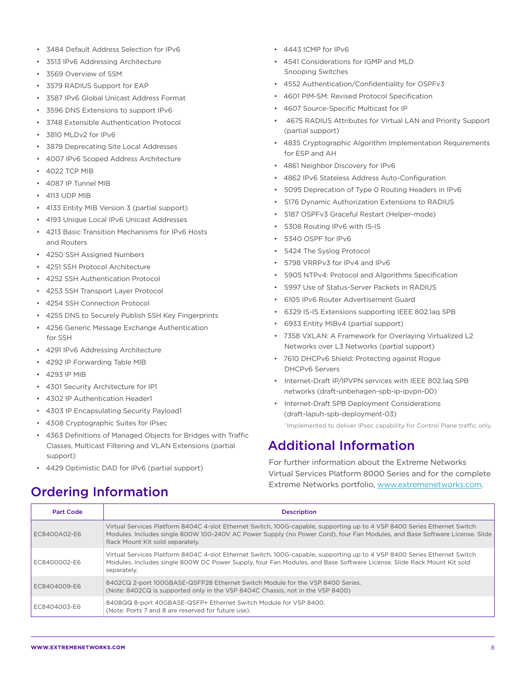- 3484 Default Address Selection for IPv6
- 3513 IPv6 Addressing Architecture
- 3569 Overview of SSM
- 3579 RADIUS Support for EAP
- 3587 IPv6 Global Unicast Address Format
- 3596 DNS Extensions to support IPv6
- 3748 Extensible Authentication Protocol
- 3810 MLDv2 for IPv6
- 3879 Deprecating Site Local Addresses
- 4007 IPv6 Scoped Address Architecture
- 4022 TCP MIB
- 4087 IP Tunnel MIB
- 4113 UDP MIB
- 4133 Entity MIB Version 3 (partial support)
- 4193 Unique Local IPv6 Unicast Addresses
- 4213 Basic Transition Mechanisms for IPv6 Hosts and Routers
- 4250 SSH Assigned Numbers
- 4251 SSH Protocol Architecture
- 4252 SSH Authentication Protocol
- 4253 SSH Transport Layer Protocol
- 4254 SSH Connection Protocol
- 4255 DNS to Securely Publish SSH Key Fingerprints
- 4256 Generic Message Exchange Authentication for SSH
- 4291 IPv6 Addressing Architecture
- 4292 IP Forwarding Table MIB
- 4293 IP MIB
- 4301 Security Architecture for IP1
- 4302 IP Authentication Header1
- 4303 IP Encapsulating Security Payload1
- 4308 Cryptographic Suites for IPsec
- 4363 Definitions of Managed Objects for Bridges with Traffic Classes, Multicast Filtering and VLAN Extensions (partial support)
- 4429 Optimistic DAD for IPv6 (partial support)
- 4443 ICMP for IPv6
- 4541 Considerations for IGMP and MLD Snooping Switches
- 4552 Authentication/Confidentiality for OSPFv3
- 4601 PIM-SM: Revised Protocol Specification
- 4607 Source-Specific Multicast for IP
- 4675 RADIUS Attributes for Virtual LAN and Priority Support (partial support)
- 4835 Cryptographic Algorithm Implementation Requirements for ESP and AH
- 4861 Neighbor Discovery for IPv6
- 4862 IPv6 Stateless Address Auto-Configuration
- 5095 Deprecation of Type 0 Routing Headers in IPv6
- 5176 Dynamic Authorization Extensions to RADIUS
- 5187 OSPFv3 Graceful Restart (Helper-mode)
- 5308 Routing IPv6 with IS-IS
- 5340 OSPF for IPv6
- 5424 The Syslog Protocol
- 5798 VRRPv3 for IPv4 and IPv6
- 5905 NTPv4: Protocol and Algorithms Specification
- 5997 Use of Status-Server Packets in RADIUS
- 6105 IPv6 Router Advertisement Guard
- 6329 IS-IS Extensions supporting IEEE 802.1aq SPB
- 6933 Entity MIBv4 (partial support)
- 7358 VXLAN: A Framework for Overlaying Virtualized L2 Networks over L3 Networks (partial support)
- 7610 DHCPv6 Shield: Protecting against Rogue DHCPv6 Servers
- Internet-Draft IP/IPVPN services with IEEE 802.1aq SPB networks (draft-unbehagen-spb-ip-ipvpn-00)
- Internet-Draft SPB Deployment Considerations (draft-lapuh-spb-deployment-03) <sup>1</sup> Implemented to deliver IPsec capability for Control Plane traffic only.

### Additional Information

For further information about the Extreme Networks Virtual Services Platform 8000 Series and for the complete Extreme Networks portfolio, www.extremenetworks.com.

| <b>Part Code</b> | <b>Description</b>                                                                                                                                                                                                                                                                        |
|------------------|-------------------------------------------------------------------------------------------------------------------------------------------------------------------------------------------------------------------------------------------------------------------------------------------|
| EC8400A02-E6     | Virtual Services Platform 8404C 4-slot Ethernet Switch, 100G-capable, supporting up to 4 VSP 8400 Series Ethernet Switch<br>Modules. Includes single 800W 100-240V AC Power Supply (no Power Cord), four Fan Modules, and Base Software License. Slide<br>Rack Mount Kit sold separately. |
| EC8400002-E6     | Virtual Services Platform 8404C 4-slot Ethernet Switch, 100G-capable, supporting up to 4 VSP 8400 Series Ethernet Switch<br>Modules. Includes single 800W DC Power Supply, four Fan Modules, and Base Software License. Slide Rack Mount Kit sold<br>separately.                          |
| EC8404009-E6     | 8402CQ 2-port 100GBASE-QSFP28 Ethernet Switch Module for the VSP 8400 Series.<br>(Note: 8402CQ is supported only in the VSP 8404C Chassis, not in the VSP 8400)                                                                                                                           |
| EC8404003-E6     | 8408QQ 8-port 40GBASE-QSFP+ Ethernet Switch Module for VSP 8400.<br>(Note: Ports 7 and 8 are reserved for future use).                                                                                                                                                                    |

# Ordering Information